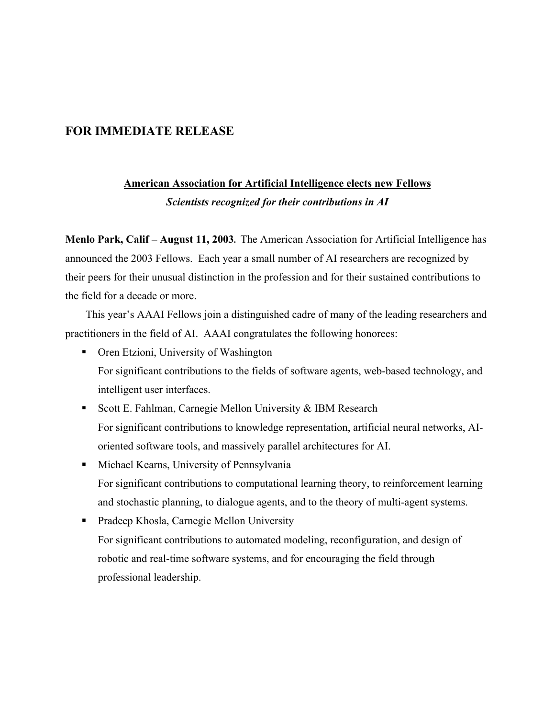## **FOR IMMEDIATE RELEASE**

## **American Association for Artificial Intelligence elects new Fellows**

*Scientists recognized for their contributions in AI*

**Menlo Park, Calif – August 11, 2003.** The American Association for Artificial Intelligence has announced the 2003 Fellows. Each year a small number of AI researchers are recognized by their peers for their unusual distinction in the profession and for their sustained contributions to the field for a decade or more.

This year's AAAI Fellows join a distinguished cadre of many of the leading researchers and practitioners in the field of AI. AAAI congratulates the following honorees:

- Oren Etzioni, University of Washington For significant contributions to the fields of software agents, web-based technology, and intelligent user interfaces.
- Scott E. Fahlman, Carnegie Mellon University  $&$  IBM Research For significant contributions to knowledge representation, artificial neural networks, AIoriented software tools, and massively parallel architectures for AI.
- **Kearns**, University of Pennsylvania For significant contributions to computational learning theory, to reinforcement learning and stochastic planning, to dialogue agents, and to the theory of multi-agent systems.
- Pradeep Khosla, Carnegie Mellon University For significant contributions to automated modeling, reconfiguration, and design of robotic and real-time software systems, and for encouraging the field through professional leadership.